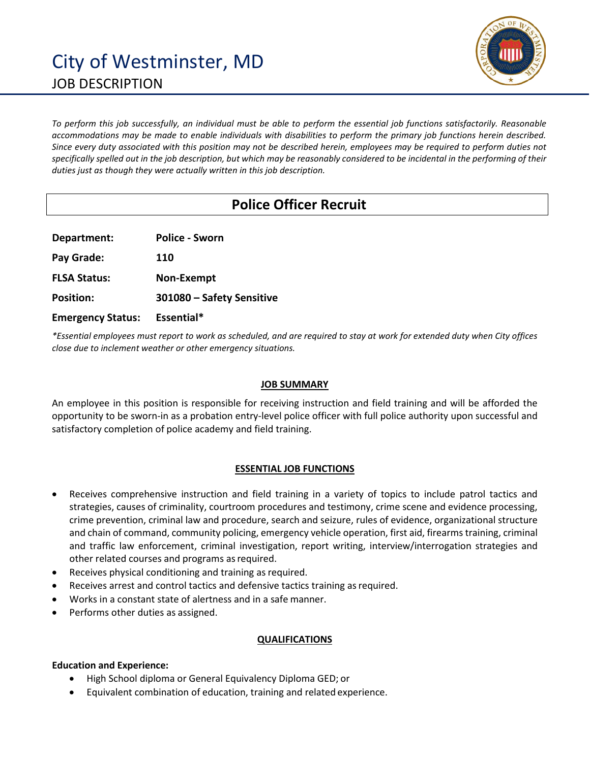

*To perform this job successfully, an individual must be able to perform the essential job functions satisfactorily. Reasonable accommodations may be made to enable individuals with disabilities to perform the primary job functions herein described. Since every duty associated with this position may not be described herein, employees may be required to perform duties not specifically spelled out in the job description, but which may be reasonably considered to be incidental in the performing of their duties just as though they were actually written in this job description.*

# **Police Officer Recruit**

**Department: Police - Sworn Pay Grade: 110 FLSA Status: Non-Exempt Position: 301080 – Safety Sensitive Emergency Status: Essential\***

*\*Essential employees must report to work as scheduled, and are required to stay at work for extended duty when City offices close due to inclement weather or other emergency situations.*

## **JOB SUMMARY**

An employee in this position is responsible for receiving instruction and field training and will be afforded the opportunity to be sworn-in as a probation entry-level police officer with full police authority upon successful and satisfactory completion of police academy and field training.

## **ESSENTIAL JOB FUNCTIONS**

- Receives comprehensive instruction and field training in a variety of topics to include patrol tactics and strategies, causes of criminality, courtroom procedures and testimony, crime scene and evidence processing, crime prevention, criminal law and procedure, search and seizure, rules of evidence, organizational structure and chain of command, community policing, emergency vehicle operation, first aid, firearms training, criminal and traffic law enforcement, criminal investigation, report writing, interview/interrogation strategies and other related courses and programs as required.
- Receives physical conditioning and training as required.
- Receives arrest and control tactics and defensive tactics training as required.
- Works in a constant state of alertness and in a safe manner.
- Performs other duties as assigned.

### **QUALIFICATIONS**

### **Education and Experience:**

- High School diploma or General Equivalency Diploma GED; or
- Equivalent combination of education, training and related experience.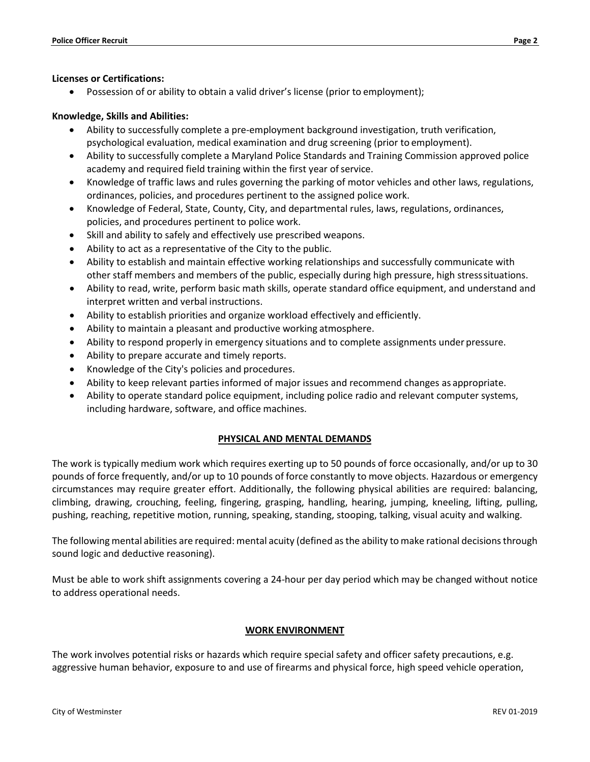#### **Licenses or Certifications:**

• Possession of or ability to obtain a valid driver's license (prior to employment);

### **Knowledge, Skills and Abilities:**

- Ability to successfully complete a pre-employment background investigation, truth verification, psychological evaluation, medical examination and drug screening (prior to employment).
- Ability to successfully complete a Maryland Police Standards and Training Commission approved police academy and required field training within the first year of service.
- Knowledge of traffic laws and rules governing the parking of motor vehicles and other laws, regulations, ordinances, policies, and procedures pertinent to the assigned police work.
- Knowledge of Federal, State, County, City, and departmental rules, laws, regulations, ordinances, policies, and procedures pertinent to police work.
- Skill and ability to safely and effectively use prescribed weapons.
- Ability to act as a representative of the City to the public.
- Ability to establish and maintain effective working relationships and successfully communicate with other staff members and members of the public, especially during high pressure, high stresssituations.
- Ability to read, write, perform basic math skills, operate standard office equipment, and understand and interpret written and verbal instructions.
- Ability to establish priorities and organize workload effectively and efficiently.
- Ability to maintain a pleasant and productive working atmosphere.
- Ability to respond properly in emergency situations and to complete assignments under pressure.
- Ability to prepare accurate and timely reports.
- Knowledge of the City's policies and procedures.
- Ability to keep relevant parties informed of major issues and recommend changes as appropriate.
- Ability to operate standard police equipment, including police radio and relevant computer systems, including hardware, software, and office machines.

### **PHYSICAL AND MENTAL DEMANDS**

The work is typically medium work which requires exerting up to 50 pounds of force occasionally, and/or up to 30 pounds of force frequently, and/or up to 10 pounds of force constantly to move objects. Hazardous or emergency circumstances may require greater effort. Additionally, the following physical abilities are required: balancing, climbing, drawing, crouching, feeling, fingering, grasping, handling, hearing, jumping, kneeling, lifting, pulling, pushing, reaching, repetitive motion, running, speaking, standing, stooping, talking, visual acuity and walking.

The following mental abilities are required: mental acuity (defined as the ability to make rational decisions through sound logic and deductive reasoning).

Must be able to work shift assignments covering a 24-hour per day period which may be changed without notice to address operational needs.

#### **WORK ENVIRONMENT**

The work involves potential risks or hazards which require special safety and officer safety precautions, e.g. aggressive human behavior, exposure to and use of firearms and physical force, high speed vehicle operation,